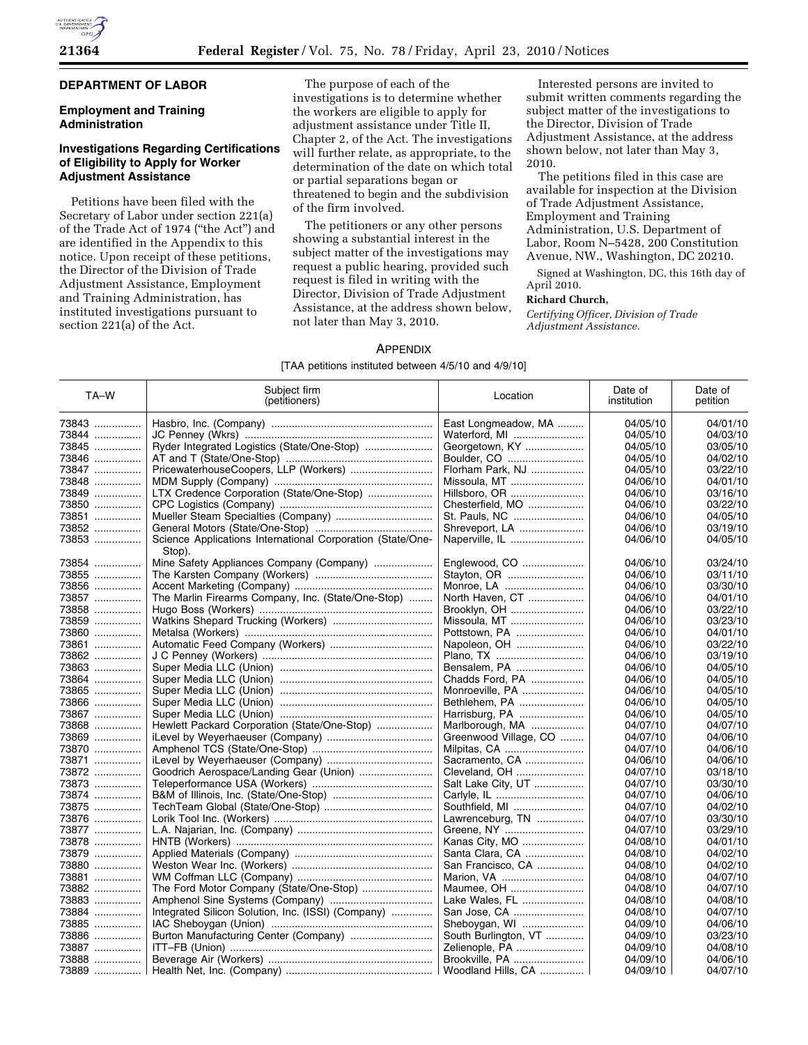# **DEPARTMENT OF LABOR**

### **Employment and Training Administration**

## **Investigations Regarding Certifications of Eligibility to Apply for Worker Adjustment Assistance**

Petitions have been filed with the Secretary of Labor under section 221(a) of the Trade Act of 1974 (''the Act'') and are identified in the Appendix to this notice. Upon receipt of these petitions, the Director of the Division of Trade Adjustment Assistance, Employment and Training Administration, has instituted investigations pursuant to section 221(a) of the Act.

The purpose of each of the investigations is to determine whether the workers are eligible to apply for adjustment assistance under Title II, Chapter 2, of the Act. The investigations will further relate, as appropriate, to the determination of the date on which total or partial separations began or threatened to begin and the subdivision of the firm involved.

The petitioners or any other persons showing a substantial interest in the subject matter of the investigations may request a public hearing, provided such request is filed in writing with the Director, Division of Trade Adjustment Assistance, at the address shown below, not later than May 3, 2010.

Interested persons are invited to submit written comments regarding the subject matter of the investigations to the Director, Division of Trade Adjustment Assistance, at the address shown below, not later than May 3, 2010.

The petitions filed in this case are available for inspection at the Division of Trade Adjustment Assistance, Employment and Training Administration, U.S. Department of Labor, Room N–5428, 200 Constitution Avenue, NW., Washington, DC 20210.

Signed at Washington, DC, this 16th day of April 2010.

# **Richard Church,**

*Certifying Officer, Division of Trade Adjustment Assistance.* 

### APPENDIX

#### [TAA petitions instituted between 4/5/10 and 4/9/10]

| TA-W  | Subject firm<br>(petitioners)                                        | Location              | Date of<br>institution | Date of<br>petition |
|-------|----------------------------------------------------------------------|-----------------------|------------------------|---------------------|
| 73843 |                                                                      | East Longmeadow, MA   | 04/05/10               | 04/01/10            |
| 73844 |                                                                      | Waterford, MI         | 04/05/10               | 04/03/10            |
| 73845 | Ryder Integrated Logistics (State/One-Stop)                          | Georgetown, KY        | 04/05/10               | 03/05/10            |
| 73846 |                                                                      | Boulder, CO           | 04/05/10               | 04/02/10            |
| 73847 | PricewaterhouseCoopers, LLP (Workers)                                | Florham Park, NJ      | 04/05/10               | 03/22/10            |
| 73848 |                                                                      | Missoula, MT          | 04/06/10               | 04/01/10            |
| 73849 | LTX Credence Corporation (State/One-Stop)                            | Hillsboro, OR         | 04/06/10               | 03/16/10            |
| 73850 |                                                                      | Chesterfield, MO      | 04/06/10               | 03/22/10            |
| 73851 | Mueller Steam Specialties (Company)                                  | St. Pauls, NC         | 04/06/10               | 04/05/10            |
| 73852 |                                                                      | Shreveport, LA        | 04/06/10               | 03/19/10            |
| 73853 | Science Applications International Corporation (State/One-<br>Stop). | Naperville, IL        | 04/06/10               | 04/05/10            |
| 73854 | Mine Safety Appliances Company (Company)                             | Englewood, CO         | 04/06/10               | 03/24/10            |
| 73855 |                                                                      | Stayton, OR           | 04/06/10               | 03/11/10            |
| 73856 |                                                                      | Monroe, LA            | 04/06/10               | 03/30/10            |
| 73857 | The Marlin Firearms Company, Inc. (State/One-Stop)                   | North Haven, CT       | 04/06/10               | 04/01/10            |
| 73858 |                                                                      | Brooklyn, OH          | 04/06/10               | 03/22/10            |
| 73859 |                                                                      | Missoula, MT          | 04/06/10               | 03/23/10            |
| 73860 |                                                                      | Pottstown, PA         | 04/06/10               | 04/01/10            |
| 73861 |                                                                      | Napoleon, OH          | 04/06/10               | 03/22/10            |
| 73862 |                                                                      | Plano, TX             | 04/06/10               | 03/19/10            |
| 73863 |                                                                      | Bensalem, PA          | 04/06/10               | 04/05/10            |
| 73864 |                                                                      | Chadds Ford, PA       | 04/06/10               | 04/05/10            |
| 73865 |                                                                      | Monroeville, PA       | 04/06/10               | 04/05/10            |
| 73866 |                                                                      | Bethlehem, PA         | 04/06/10               | 04/05/10            |
| 73867 |                                                                      | Harrisburg, PA        | 04/06/10               | 04/05/10            |
| 73868 | Hewlett Packard Corporation (State/One-Stop)                         | Marlborough, MA       | 04/07/10               | 04/07/10            |
| 73869 |                                                                      | Greenwood Village, CO | 04/07/10               | 04/06/10            |
| 73870 |                                                                      | Milpitas, CA          | 04/07/10               | 04/06/10            |
| 73871 |                                                                      | Sacramento, CA        | 04/06/10               | 04/06/10            |
| 73872 | Goodrich Aerospace/Landing Gear (Union)                              | Cleveland, OH         | 04/07/10               | 03/18/10            |
| 73873 |                                                                      | Salt Lake City, UT    | 04/07/10               | 03/30/10            |
| 73874 |                                                                      | Carlyle, IL           | 04/07/10               | 04/06/10            |
| 73875 |                                                                      | Southfield, MI        | 04/07/10               | 04/02/10            |
| 73876 |                                                                      | Lawrenceburg, TN      | 04/07/10               | 03/30/10            |
| 73877 |                                                                      | Greene, NY            | 04/07/10               | 03/29/10            |
| 73878 |                                                                      | Kanas City, MO        | 04/08/10               | 04/01/10            |
| 73879 |                                                                      | Santa Clara, CA       | 04/08/10               | 04/02/10            |
| 73880 |                                                                      | San Francisco, CA     | 04/08/10               | 04/02/10            |
| 73881 |                                                                      | Marion, VA            | 04/08/10               | 04/07/10            |
| 73882 | The Ford Motor Company (State/One-Stop)                              | Maumee, OH            | 04/08/10               | 04/07/10            |
| 73883 |                                                                      | Lake Wales, FL        | 04/08/10               | 04/08/10            |
| 73884 | Integrated Silicon Solution, Inc. (ISSI) (Company)                   | San Jose, CA          | 04/08/10               | 04/07/10            |
| 73885 |                                                                      | Sheboygan, WI         | 04/09/10               | 04/06/10            |
| 73886 |                                                                      | South Burlington, VT  | 04/09/10               | 03/23/10            |
| 73887 |                                                                      | Zelienople, PA        | 04/09/10               | 04/08/10            |
| 73888 |                                                                      | Brookville, PA        | 04/09/10               | 04/06/10            |
| 73889 |                                                                      | Woodland Hills, CA    | 04/09/10               | 04/07/10            |